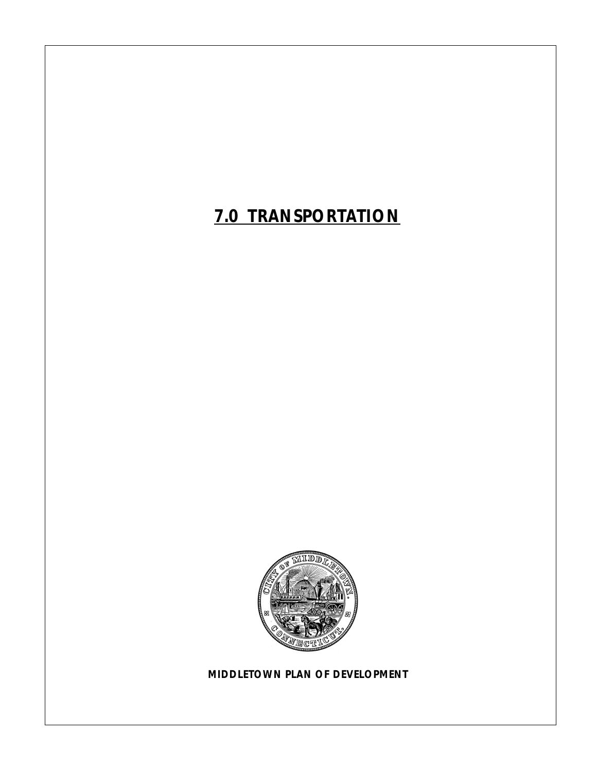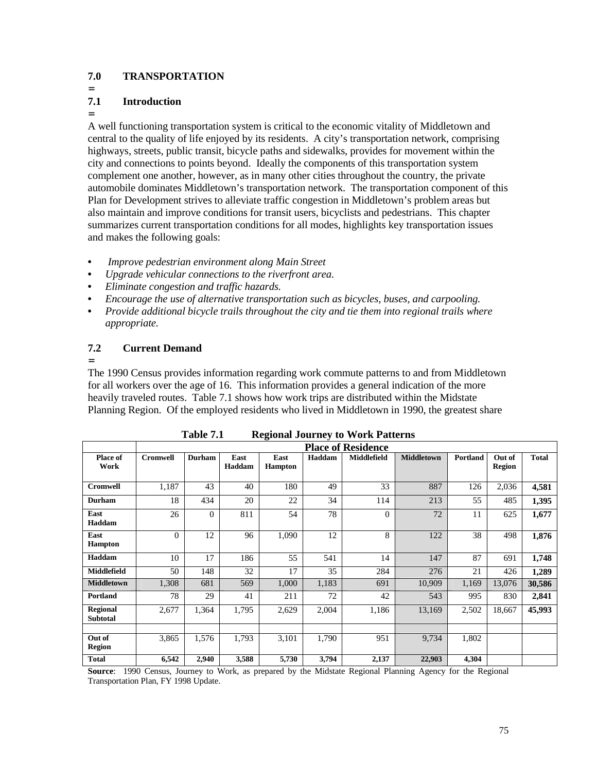### **7.0 TRANSPORTATION**

=

=

### **7.1 Introduction**

A well functioning transportation system is critical to the economic vitality of Middletown and central to the quality of life enjoyed by its residents. A city's transportation network, comprising highways, streets, public transit, bicycle paths and sidewalks, provides for movement within the city and connections to points beyond. Ideally the components of this transportation system complement one another, however, as in many other cities throughout the country, the private automobile dominates Middletown's transportation network. The transportation component of this Plan for Development strives to alleviate traffic congestion in Middletown's problem areas but also maintain and improve conditions for transit users, bicyclists and pedestrians. This chapter summarizes current transportation conditions for all modes, highlights key transportation issues and makes the following goals:

- **•** *Improve pedestrian environment along Main Street*
- **•** *Upgrade vehicular connections to the riverfront area.*
- *Eliminate congestion and traffic hazards.*
- **•** *Encourage the use of alternative transportation such as bicycles, buses, and carpooling.*
- **•** *Provide additional bicycle trails throughout the city and tie them into regional trails where appropriate.*

### **7.2 Current Demand**

=

The 1990 Census provides information regarding work commute patterns to and from Middletown for all workers over the age of 16. This information provides a general indication of the more heavily traveled routes. Table 7.1 shows how work trips are distributed within the Midstate Planning Region. Of the employed residents who lived in Middletown in 1990, the greatest share

|                                    | ె<br><b>Place of Residence</b> |                |                |                        |        |                    |                   |          |                         |        |
|------------------------------------|--------------------------------|----------------|----------------|------------------------|--------|--------------------|-------------------|----------|-------------------------|--------|
| <b>Place of</b><br>Work            | Cromwell                       | <b>Durham</b>  | East<br>Haddam | East<br><b>Hampton</b> | Haddam | <b>Middlefield</b> | <b>Middletown</b> | Portland | Out of<br><b>Region</b> | Total  |
| <b>Cromwell</b>                    | 1,187                          | 43             | 40             | 180                    | 49     | 33                 | 887               | 126      | 2,036                   | 4,581  |
| <b>Durham</b>                      | 18                             | 434            | 20             | 22                     | 34     | 114                | 213               | 55       | 485                     | 1,395  |
| East<br>Haddam                     | 26                             | $\overline{0}$ | 811            | 54                     | 78     | $\mathbf{0}$       | 72                | 11       | 625                     | 1,677  |
| East<br><b>Hampton</b>             | $\theta$                       | 12             | 96             | 1,090                  | 12     | 8                  | 122               | 38       | 498                     | 1,876  |
| Haddam                             | 10                             | 17             | 186            | 55                     | 541    | 14                 | 147               | 87       | 691                     | 1,748  |
| <b>Middlefield</b>                 | 50                             | 148            | 32             | 17                     | 35     | 284                | 276               | 21       | 426                     | 1,289  |
| <b>Middletown</b>                  | 1,308                          | 681            | 569            | 1,000                  | 1,183  | 691                | 10,909            | 1,169    | 13,076                  | 30,586 |
| Portland                           | 78                             | 29             | 41             | 211                    | 72     | 42                 | 543               | 995      | 830                     | 2,841  |
| <b>Regional</b><br><b>Subtotal</b> | 2,677                          | 1,364          | 1,795          | 2,629                  | 2,004  | 1,186              | 13,169            | 2,502    | 18,667                  | 45,993 |
|                                    |                                |                |                |                        |        |                    |                   |          |                         |        |
| Out of<br><b>Region</b>            | 3,865                          | 1,576          | 1,793          | 3,101                  | 1,790  | 951                | 9,734             | 1,802    |                         |        |
| <b>Total</b>                       | 6,542                          | 2,940          | 3,588          | 5,730                  | 3,794  | 2,137              | 22,903            | 4,304    |                         |        |

| Table 7.1 | <b>Regional Journey to Work Patterns</b> |  |  |
|-----------|------------------------------------------|--|--|
|           |                                          |  |  |

**Source:** 1990 Census, Journey to Work, as prepared by the Midstate Regional Planning Agency for the Regional Transportation Plan, FY 1998 Update.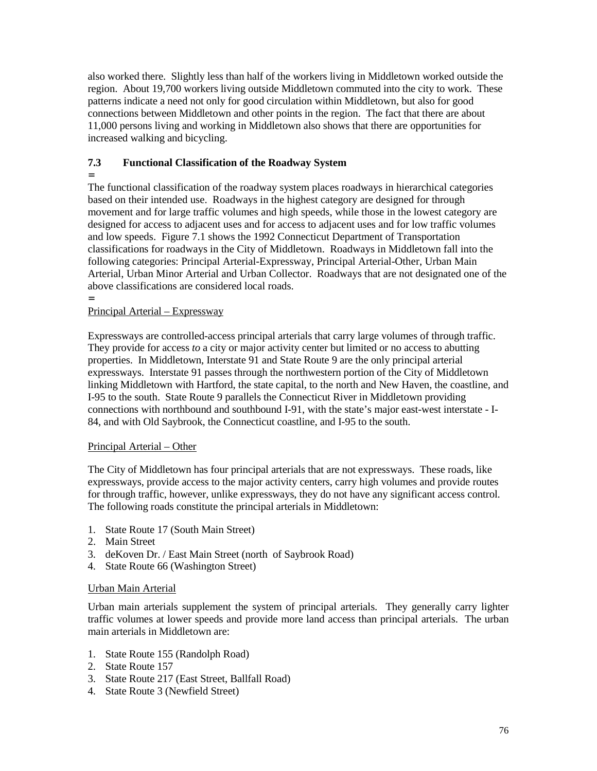also worked there. Slightly less than half of the workers living in Middletown worked outside the region. About 19,700 workers living outside Middletown commuted into the city to work. These patterns indicate a need not only for good circulation within Middletown, but also for good connections between Middletown and other points in the region. The fact that there are about 11,000 persons living and working in Middletown also shows that there are opportunities for increased walking and bicycling.

### **7.3 Functional Classification of the Roadway System**

= The functional classification of the roadway system places roadways in hierarchical categories based on their intended use. Roadways in the highest category are designed for through movement and for large traffic volumes and high speeds, while those in the lowest category are designed for access to adjacent uses and for access to adjacent uses and for low traffic volumes and low speeds. Figure 7.1 shows the 1992 Connecticut Department of Transportation classifications for roadways in the City of Middletown. Roadways in Middletown fall into the following categories: Principal Arterial-Expressway, Principal Arterial-Other, Urban Main Arterial, Urban Minor Arterial and Urban Collector. Roadways that are not designated one of the above classifications are considered local roads.

#### = Principal Arterial – Expressway

Expressways are controlled-access principal arterials that carry large volumes of through traffic. They provide for access *to* a city or major activity center but limited or no access to abutting properties. In Middletown, Interstate 91 and State Route 9 are the only principal arterial expressways. Interstate 91 passes through the northwestern portion of the City of Middletown linking Middletown with Hartford, the state capital, to the north and New Haven, the coastline, and I-95 to the south. State Route 9 parallels the Connecticut River in Middletown providing connections with northbound and southbound I-91, with the state's major east-west interstate - I-84, and with Old Saybrook, the Connecticut coastline, and I-95 to the south.

### Principal Arterial – Other

The City of Middletown has four principal arterials that are not expressways. These roads, like expressways, provide access to the major activity centers, carry high volumes and provide routes for through traffic, however, unlike expressways, they do not have any significant access control. The following roads constitute the principal arterials in Middletown:

- 1. State Route 17 (South Main Street)
- 2. Main Street
- 3. deKoven Dr. / East Main Street (north of Saybrook Road)
- 4. State Route 66 (Washington Street)

### Urban Main Arterial

Urban main arterials supplement the system of principal arterials. They generally carry lighter traffic volumes at lower speeds and provide more land access than principal arterials. The urban main arterials in Middletown are:

- 1. State Route 155 (Randolph Road)
- 2. State Route 157
- 3. State Route 217 (East Street, Ballfall Road)
- 4. State Route 3 (Newfield Street)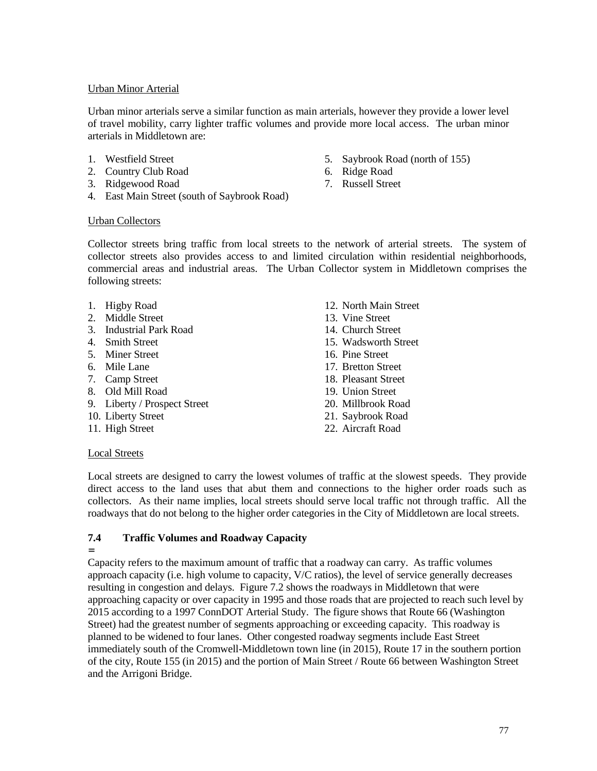### Urban Minor Arterial

Urban minor arterials serve a similar function as main arterials, however they provide a lower level of travel mobility, carry lighter traffic volumes and provide more local access. The urban minor arterials in Middletown are:

- 1. Westfield Street
- 2. Country Club Road
- 3. Ridgewood Road
- 4. East Main Street (south of Saybrook Road)
- 5. Saybrook Road (north of 155)
- 6. Ridge Road
- 7. Russell Street

### Urban Collectors

Collector streets bring traffic from local streets to the network of arterial streets. The system of collector streets also provides access to and limited circulation within residential neighborhoods, commercial areas and industrial areas. The Urban Collector system in Middletown comprises the following streets:

- 
- 2. Middle Street 13. Vine Street
- 3. Industrial Park Road 14. Church Street
- 
- 5. Miner Street 16. Pine Street
- 
- 
- 8. Old Mill Road 19. Union Street
- 9. Liberty / Prospect Street 20. Millbrook Road
- 
- 
- 1. Higby Road 12. North Main Street
	-
	-
- 4. Smith Street 15. Wadsworth Street
	-
- 6. Mile Lane 17. Bretton Street
- 7. Camp Street 18. Pleasant Street
	-
	-
- 10. Liberty Street 21. Saybrook Road
- 11. High Street 22. Aircraft Road

### Local Streets

Local streets are designed to carry the lowest volumes of traffic at the slowest speeds. They provide direct access to the land uses that abut them and connections to the higher order roads such as collectors. As their name implies, local streets should serve local traffic not through traffic. All the roadways that do not belong to the higher order categories in the City of Middletown are local streets.

### **7.4 Traffic Volumes and Roadway Capacity**

=

Capacity refers to the maximum amount of traffic that a roadway can carry. As traffic volumes approach capacity (i.e. high volume to capacity, V/C ratios), the level of service generally decreases resulting in congestion and delays. Figure 7.2 shows the roadways in Middletown that were approaching capacity or over capacity in 1995 and those roads that are projected to reach such level by 2015 according to a 1997 ConnDOT Arterial Study. The figure shows that Route 66 (Washington Street) had the greatest number of segments approaching or exceeding capacity. This roadway is planned to be widened to four lanes. Other congested roadway segments include East Street immediately south of the Cromwell-Middletown town line (in 2015), Route 17 in the southern portion of the city, Route 155 (in 2015) and the portion of Main Street / Route 66 between Washington Street and the Arrigoni Bridge.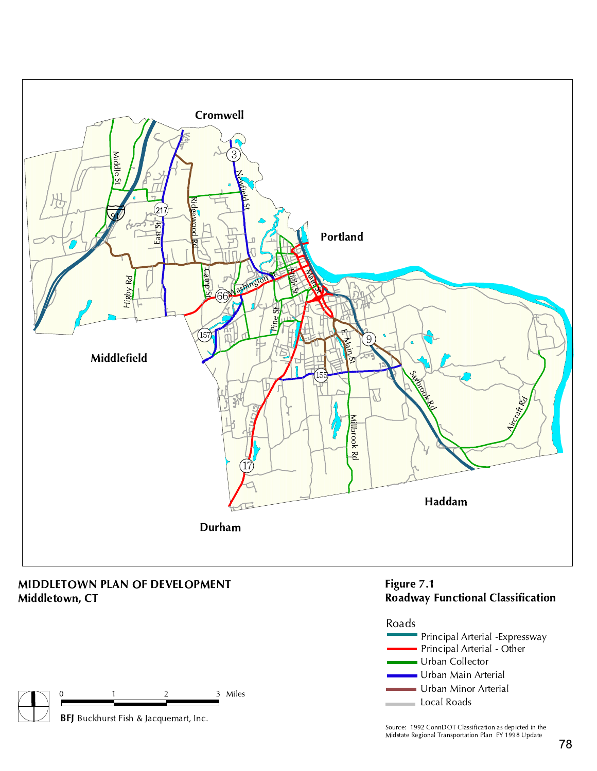

Middletown, CT

BFJ Buckhurst Fish & Jacquemart, Inc.

3 Miles







Source: 1992 ConnDOT Classification as depicted in the Midstate Regional Transportation Plan FY 1998 Update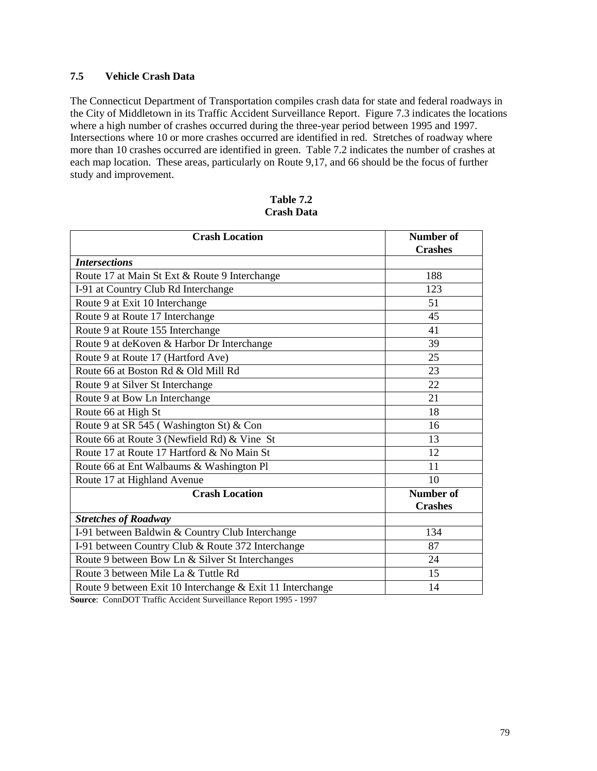### **7.5 Vehicle Crash Data**

The Connecticut Department of Transportation compiles crash data for state and federal roadways in the City of Middletown in its Traffic Accident Surveillance Report. Figure 7.3 indicates the locations where a high number of crashes occurred during the three-year period between 1995 and 1997. Intersections where 10 or more crashes occurred are identified in red. Stretches of roadway where more than 10 crashes occurred are identified in green. Table 7.2 indicates the number of crashes at each map location. These areas, particularly on Route 9,17, and 66 should be the focus of further study and improvement.

| Table 7.2         |
|-------------------|
| <b>Crash Data</b> |

| <b>Crash Location</b>                                     | <b>Number of</b><br><b>Crashes</b> |  |  |
|-----------------------------------------------------------|------------------------------------|--|--|
| <b>Intersections</b>                                      |                                    |  |  |
| Route 17 at Main St Ext & Route 9 Interchange             | 188                                |  |  |
| I-91 at Country Club Rd Interchange                       | 123                                |  |  |
| Route 9 at Exit 10 Interchange                            | 51                                 |  |  |
| Route 9 at Route 17 Interchange                           | 45                                 |  |  |
| Route 9 at Route 155 Interchange                          | 41                                 |  |  |
| Route 9 at deKoven & Harbor Dr Interchange                | 39                                 |  |  |
| Route 9 at Route 17 (Hartford Ave)                        | 25                                 |  |  |
| Route 66 at Boston Rd & Old Mill Rd                       | 23                                 |  |  |
| Route 9 at Silver St Interchange                          | 22                                 |  |  |
| Route 9 at Bow Ln Interchange                             | 21                                 |  |  |
| Route 66 at High St                                       | 18                                 |  |  |
| Route 9 at SR 545 (Washington St) & Con                   | 16                                 |  |  |
| Route 66 at Route 3 (Newfield Rd) & Vine St               | 13                                 |  |  |
| Route 17 at Route 17 Hartford & No Main St                | 12                                 |  |  |
| Route 66 at Ent Walbaums & Washington Pl                  | 11                                 |  |  |
| Route 17 at Highland Avenue                               | 10                                 |  |  |
| <b>Crash Location</b>                                     | <b>Number of</b>                   |  |  |
|                                                           | <b>Crashes</b>                     |  |  |
| <b>Stretches of Roadway</b>                               |                                    |  |  |
| I-91 between Baldwin & Country Club Interchange           | 134                                |  |  |
| I-91 between Country Club & Route 372 Interchange         | 87                                 |  |  |
| Route 9 between Bow Ln & Silver St Interchanges           | 24                                 |  |  |
| Route 3 between Mile La & Tuttle Rd                       | 15                                 |  |  |
| Route 9 between Exit 10 Interchange & Exit 11 Interchange | 14                                 |  |  |

**Source**: ConnDOT Traffic Accident Surveillance Report 1995 - 1997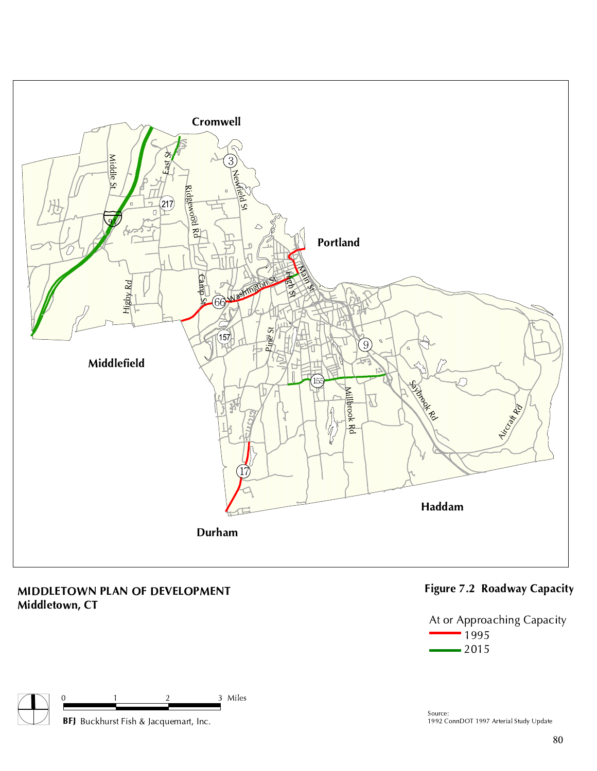

## MIDDLETOWN PLAN OF DEVELOPMENT Middletown, CT



## Figure 7.2 Roadway Capacity



Source: 1992 ConnDOT 1997 Arterial Study Update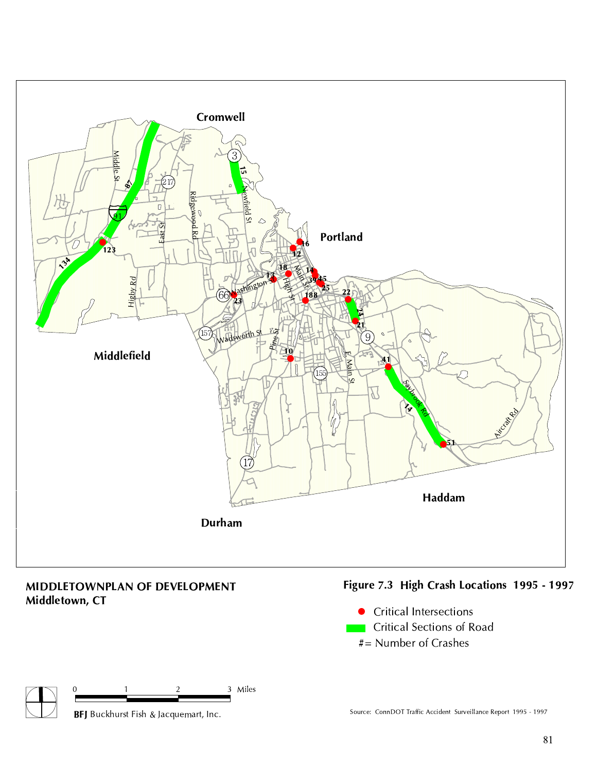

## MIDDLETOWNPLAN OF DEVELOPMENT Middletown, CT

# Figure 7.3 High Crash Locations 1995 - 1997



#= Number of Crashes



Source: ConnDOT Traffic Accident Surveillance Report 1995 - 1997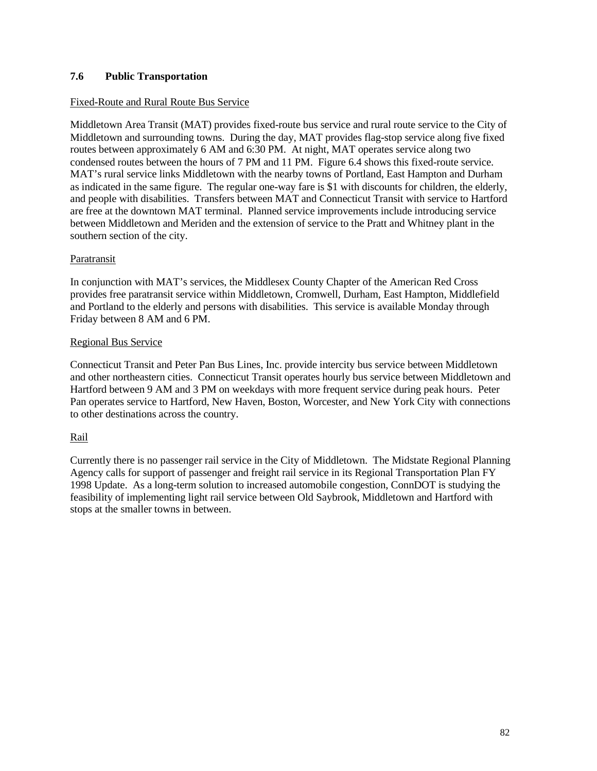### **7.6 Public Transportation**

### Fixed-Route and Rural Route Bus Service

Middletown Area Transit (MAT) provides fixed-route bus service and rural route service to the City of Middletown and surrounding towns. During the day, MAT provides flag-stop service along five fixed routes between approximately 6 AM and 6:30 PM. At night, MAT operates service along two condensed routes between the hours of 7 PM and 11 PM. Figure 6.4 shows this fixed-route service. MAT's rural service links Middletown with the nearby towns of Portland, East Hampton and Durham as indicated in the same figure. The regular one-way fare is \$1 with discounts for children, the elderly, and people with disabilities. Transfers between MAT and Connecticut Transit with service to Hartford are free at the downtown MAT terminal. Planned service improvements include introducing service between Middletown and Meriden and the extension of service to the Pratt and Whitney plant in the southern section of the city.

### Paratransit

In conjunction with MAT's services, the Middlesex County Chapter of the American Red Cross provides free paratransit service within Middletown, Cromwell, Durham, East Hampton, Middlefield and Portland to the elderly and persons with disabilities. This service is available Monday through Friday between 8 AM and 6 PM.

### Regional Bus Service

Connecticut Transit and Peter Pan Bus Lines, Inc. provide intercity bus service between Middletown and other northeastern cities. Connecticut Transit operates hourly bus service between Middletown and Hartford between 9 AM and 3 PM on weekdays with more frequent service during peak hours. Peter Pan operates service to Hartford, New Haven, Boston, Worcester, and New York City with connections to other destinations across the country.

### Rail

Currently there is no passenger rail service in the City of Middletown. The Midstate Regional Planning Agency calls for support of passenger and freight rail service in its Regional Transportation Plan FY 1998 Update. As a long-term solution to increased automobile congestion, ConnDOT is studying the feasibility of implementing light rail service between Old Saybrook, Middletown and Hartford with stops at the smaller towns in between.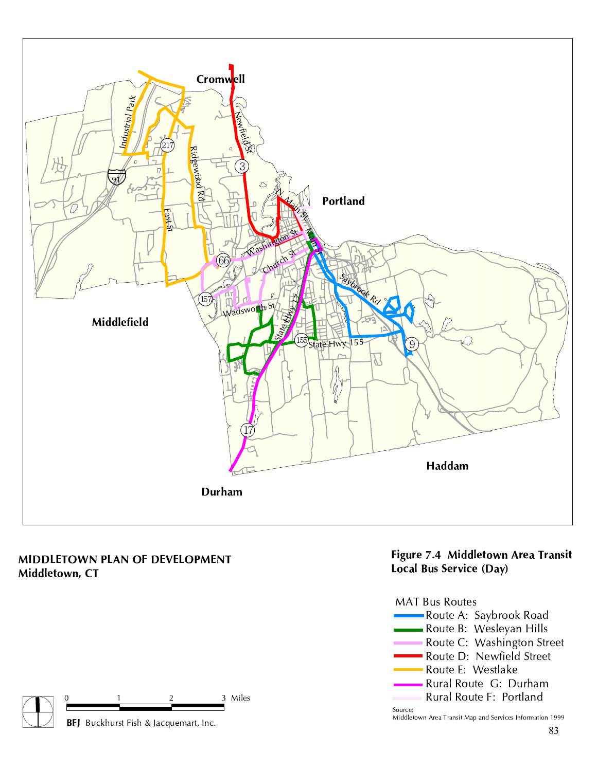

## MIDDLETOWN PLAN OF DEVELOPMENT Middletown, CT



## Figure 7.4 Middletown Area Transit Local Bus Service (Day)



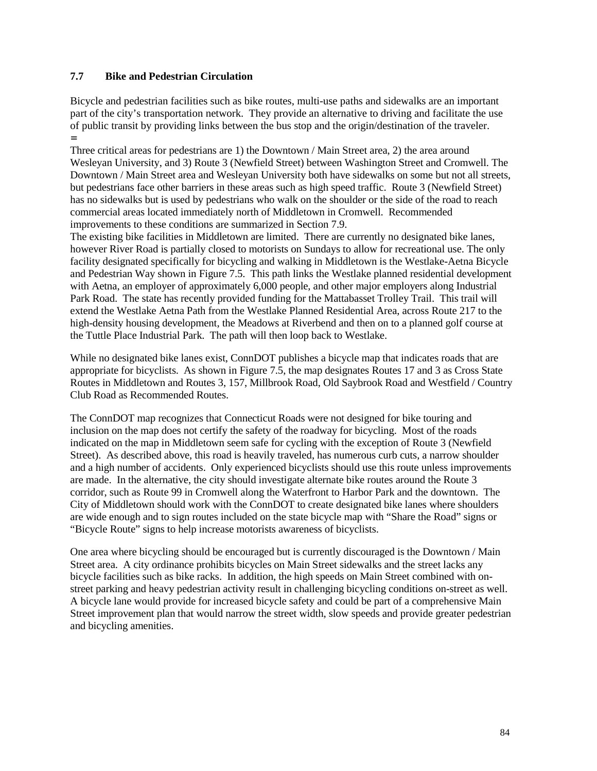### **7.7 Bike and Pedestrian Circulation**

Bicycle and pedestrian facilities such as bike routes, multi-use paths and sidewalks are an important part of the city's transportation network. They provide an alternative to driving and facilitate the use of public transit by providing links between the bus stop and the origin/destination of the traveler. =

Three critical areas for pedestrians are 1) the Downtown / Main Street area, 2) the area around Wesleyan University, and 3) Route 3 (Newfield Street) between Washington Street and Cromwell. The Downtown / Main Street area and Wesleyan University both have sidewalks on some but not all streets, but pedestrians face other barriers in these areas such as high speed traffic. Route 3 (Newfield Street) has no sidewalks but is used by pedestrians who walk on the shoulder or the side of the road to reach commercial areas located immediately north of Middletown in Cromwell. Recommended improvements to these conditions are summarized in Section 7.9.

The existing bike facilities in Middletown are limited. There are currently no designated bike lanes, however River Road is partially closed to motorists on Sundays to allow for recreational use. The only facility designated specifically for bicycling and walking in Middletown is the Westlake-Aetna Bicycle and Pedestrian Way shown in Figure 7.5. This path links the Westlake planned residential development with Aetna, an employer of approximately 6,000 people, and other major employers along Industrial Park Road. The state has recently provided funding for the Mattabasset Trolley Trail. This trail will extend the Westlake Aetna Path from the Westlake Planned Residential Area, across Route 217 to the high-density housing development, the Meadows at Riverbend and then on to a planned golf course at the Tuttle Place Industrial Park. The path will then loop back to Westlake.

While no designated bike lanes exist, ConnDOT publishes a bicycle map that indicates roads that are appropriate for bicyclists. As shown in Figure 7.5, the map designates Routes 17 and 3 as Cross State Routes in Middletown and Routes 3, 157, Millbrook Road, Old Saybrook Road and Westfield / Country Club Road as Recommended Routes.

The ConnDOT map recognizes that Connecticut Roads were not designed for bike touring and inclusion on the map does not certify the safety of the roadway for bicycling. Most of the roads indicated on the map in Middletown seem safe for cycling with the exception of Route 3 (Newfield Street). As described above, this road is heavily traveled, has numerous curb cuts, a narrow shoulder and a high number of accidents. Only experienced bicyclists should use this route unless improvements are made. In the alternative, the city should investigate alternate bike routes around the Route 3 corridor, such as Route 99 in Cromwell along the Waterfront to Harbor Park and the downtown. The City of Middletown should work with the ConnDOT to create designated bike lanes where shoulders are wide enough and to sign routes included on the state bicycle map with "Share the Road" signs or "Bicycle Route" signs to help increase motorists awareness of bicyclists.

One area where bicycling should be encouraged but is currently discouraged is the Downtown / Main Street area. A city ordinance prohibits bicycles on Main Street sidewalks and the street lacks any bicycle facilities such as bike racks. In addition, the high speeds on Main Street combined with onstreet parking and heavy pedestrian activity result in challenging bicycling conditions on-street as well. A bicycle lane would provide for increased bicycle safety and could be part of a comprehensive Main Street improvement plan that would narrow the street width, slow speeds and provide greater pedestrian and bicycling amenities.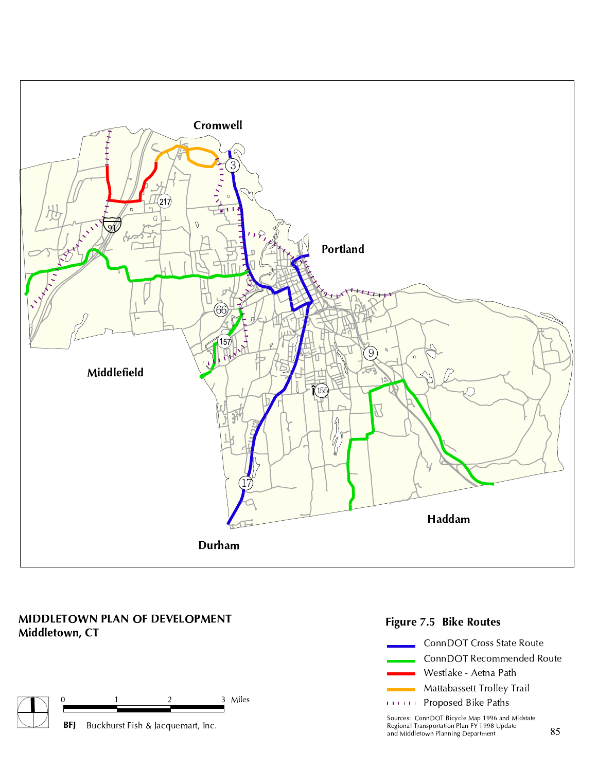

## MIDDLETOWN PLAN OF DEVELOPMENT Middletown, CT







Sources: ConnDOT Bicycle Map 1996 and Midstate Regional Transportation Plan FY 1998 Update and Middletown Planning Department Buckhurst Fish & Jacquemart, Inc.